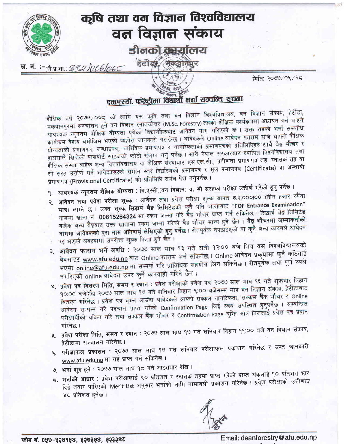

मिति: २०७७/०९/२८

## <sup>नि</sup> संकाय, हैं एम.एस्सी. फरेष्ट्रीमा विद्यार्थी भर्ना सम्वन्धि सूचना

शैक्षिक वर्ष २०७७ ∕०७८ को लागि यस कृषि तथा वन विज्ञान विश्वविद्यालय, वन विज्ञान संकाय, हेटौडा, मकवानपुरमा सञ्चालन हुने वन विज्ञान स्नातकोत्तर (M.Sc. Forestry) तहको शैक्षिक कार्यक्रममा अध्ययन गर्न चाहने आवश्यक न्यूनतम शैक्षिक योग्यता पुगेका विद्यार्थीहरुबाट आवेदन माग गरिएको छ । उक्त तहको भर्ना सम्बन्धि कार्यक्रम देहाय बमोजिम भएको व्यहोरा जानकारी गराईन्छ । आवेदकले Online आवेदन फाराम साथ आफ्नो शैक्षिक योग्यताको प्रमाणपत्र, लब्धाङ्रपत्र, चारित्रिक प्रमाणपत्र र नागरिकताको प्रमाणपत्रको प्रतिलिपिहरु साथै बैङ्ग भौचर र हालसालै खिचेको पासपोर्ट साइजको फोटो संलग्न गर्नु पर्नेछ । साथै नेपाल सरकारबाट स्थापित विश्वविद्यालय तथा शैक्षिक संस्था बाहेक अन्य विश्वविद्यालय वा शैक्षिक संस्थाबाट एस.एल.सी., प्रवीणता प्रमाणपत्र तह, स्नातक तह वा सो सरह उत्तीर्ण गर्ने आवेदकहरुले समान स्तर निर्धारणको प्रमाणपत्र र मुल प्रमाणपत्र (Certificate) वा अस्थायी प्रमाणपत्र (Provisional Certificate) को प्रतिलिपि समेत पेश गर्नुपर्नेछ ।

- १. आवश्यक न्यूनतम शैक्षिक योग्यता : बि.एस्सी.(वन विज्ञान) वा सो सरहको परीक्षा उत्तीर्ण गरेको हुनु पर्नेछ ।
- २. **आवेदन तथा प्रवेश परीक्षा शुल्क** : आवेदन तथा प्रवेश परीक्षा शुल्क बापत रु.३,०००।०० (तीन हजार रुपैंया मात्र) लाग्ने छ । उक्त शुल्क सिद्धार्थ बैड्ड लिमिटेडको कुनै पनि शाखाबाट "FOF Entrance Examination" नाममा खाता नं. 00815264324 मा रकम जम्मा गरि बैङ्ग भौचर प्राप्त गर्न सकिनेछ । सिद्धार्थ बैङ्ग लिमिटेड बाहेक अन्य बैङ्गबाट उक्त खातामा रकम जम्मा गरेको बैङ्ग भौचर मान्य हुने छैन । **बैङ्ग भौचरमा जम्माकर्ताको** नाममा आवेदकको पुरा नाम अनिवार्य लेखिएको हुनु पर्नेछ । रीतपूर्वक नपठाइएको वा कुनै अन्य कारणले आवेदन रद्द भएको अवस्थामा उपरोक्त शुल्क फिर्ता हुने छैन।
- ३. आवेदन फाराम भर्ने अवधि : २०७७ साल माघ १३ गते राती १२:०० बजे भित्र यस विश्वविद्यालयको वेवसाईट www.afu.edu.np बाट Online फाराम भर्न सकिनेछ । Online आवेदन प्रकृयामा कुनै कठिनाई भएमा online@afu.edu.np मा सम्पर्क गरि प्राविधिक सहयोग लिन सकिनेछ। रीतपूर्वक तथा पूर्ण रुपले नभरिएको online आवेदन उपर कुनै कारवाही गरिने छैन ।
- ४. प्रवेश पत्र बितरण मिति, समय र स्थान : प्रवेश परीक्षाको प्रवेश पत्र २०७७ साल माघ १६ गते शुक्रवार बिहान १०:०० बजेदेखि २०७७ साल माघ १७ गते शनिबार विहान ९:०० बजेसम्म मात्र वन विज्ञान संकाय, हेटौडाबाट बितरण गरिनेछ । प्रवेश पत्र बुभन आउँदा आवेदकले आफ्नो सक्कल नागरिकता, सक्कल बैंक भौचर र Online आवेदन सम्पन्न गरे पश्चात प्राप्त गरेको Confirmation Page लिई स्वयं उपस्थित हुनुपर्नेछ । सम्बन्धित परीक्षार्थीको यकिन गरि तथा सक्कल बैंक भौचर र Confirmation Page बुक्ति मात्र निजलाई प्रवेश पत्र प्रदान गरिनेछ ।
- ५. प्रवेश परीक्षा मिति, समय र स्थान : २०७७ साल माघ १७ गते शनिबार विहान ११:०० बजे वन विज्ञान संकाय, हेटौडामा सञ्चालन गरिनेछ ।
- ६. <mark>परीक्षाफल प्रकाशन</mark> : २०७७ साल माघ १७ गते शनिबार परीक्षाफल प्रकाशन गरिनेछ र उक्त जानकारी www.afu.edu.np मा गई प्राप्त गर्न सकिनेछ।
- ७. भर्ना शुरु हुने : २०७७ साल माघ १८ गते आइतबार देखि।
- 5. भर्नाको आधार : प्रवेश परीक्षालाई ९० प्रतिशत र स्नातक तहमा प्राप्त गरेको प्राप्त अंकलाई १० प्रतिशत भार दिई तयार पारिएको Merit List अनुसार भर्नाको लागि नामावली प्रकाशन गरिनेछ । प्रवेश परीक्षाको उत्तीर्णाङ्ग ४० प्रतिशत हनेछ।

Email: deanforestry@afu.edu.np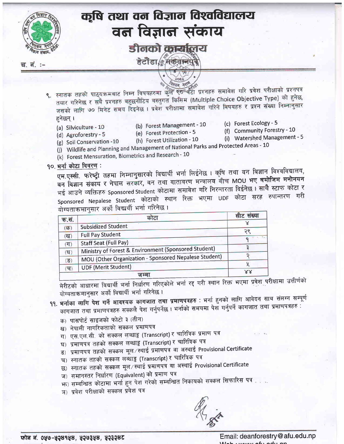

- ९. स्नातक तहको पाठ्यक्रमबाट निम्न विषयहरुमा कुल क्<del>छ</del>यचटा प्रश्नहरु समावेश गरि प्रवेश परीक्षाको प्रश्नपत्र तयार गरिनेछ र सबै प्रश्नहरु बहुछनौटिय बस्तुगत किसिम (Multiple Choice Objective Type) को हुनेछ, जसको लागि ७० मिनेट समय दिइनेछ । प्रवेश परीक्षामा समावेश गरिने विषयहरु र प्रश्न संख्या निम्नानुसार हनेछन् ।
	- (a) Silviculture 10
- (b) Forest Management 10
- (c) Forest Ecology 5
- (f) Community Forestry 10
- (d) Agroforestry 5
- (e) Forest Protection 5
- (i) Watershed Management 5
- (g) Soil Conservation 10
- (h) Forest Utilization 10
- 
- (j) Wildlife and Planning and Management of National Parks and Protected Areas 10 (k) Forest Mensuration, Biometrics and Research - 10
- १०. भर्ना कोटा विवरण:

एम.एस्सी. फरेष्ट्री तहमा निम्नानुसारको विद्यार्थी भर्ना लिईनेछ । कृषि तथा वन विज्ञान विश्वविद्यालय, वन विज्ञान संकाय र नेपाल सरकार, वन तथा वातावरण मन्त्रालय बीच MOU भए बमोजिम मनोनयन भई आउने व्यक्तिहरु Sponsored Student कोटामा समावेश गरि निरन्तरता दिईनेछ। साथै स्टाफ कोटा र Sponsored Nepalese Student कोटाको स्थान रिक्त भएमा UDF कोटा सरह रुपान्तरण गरी योग्यताक्रमानसार अर्को विद्यार्थी भर्ना गरिनेछ।

|                           | कोटा                                                  | सीट संख्या |
|---------------------------|-------------------------------------------------------|------------|
| क.सं.                     |                                                       |            |
| $(\overline{dp})$         | <b>Subsidized Student</b>                             |            |
| (ख)                       | <b>Full Pay Student</b>                               |            |
| (TT)                      | <b>Staff Seat (Full Pay)</b>                          |            |
| $(\nabla)$                | Ministry of Forest & Environment (Sponsored Student)  |            |
| $(\overline{S})$          | MOU (Other Organization - Sponsored Nepalese Student) |            |
| $(\overline{\mathbf{v}})$ | <b>UDF (Merit Student)</b>                            |            |
|                           | ज सम                                                  | X X        |

मेरीटको आधारमा विद्यार्थी भर्ना निर्धारण गरिएकोले भर्ना रद्द गरी स्थान रिक्त भएमा प्रवेश परीक्षामा उत्तीर्णको योग्यताक्रमानुसार अर्को विद्यार्थी भर्ना गरिनेछ ।

- 99. भर्नाका लागि पेश गर्ने आवश्यक कागजात तथा प्रमाणपत्रहरु : भर्ना हुनको लागि आवेदन साथ संलग्न सम्पूर्ण कागजात तथा प्रमाणपत्रहरु सक्कलै पेश गर्नुपर्नेछ । भर्नाको समयमा पेश गर्नुपर्ने कागजात तथा प्रमाणपत्रहरु
	- क) पासपोर्ट साइजको फोटो ३ (तीन)
	- ख) नेपाली नागरिकताको सक्कल प्रमाणपत्र
	- ग) एस.एल.सी. को सक्कल लब्धाडू (Transcript) र चारित्रिक प्रमाण पत्र
	- घ) प्रमाणपत्र तहको सक्कल लब्धाडु (Transcript) र चारित्रिक पत्र
	- ड) प्रमाणपत्र तहको सक्कल मूल⁄स्थाई प्रमाणपत्र वा अस्थाई Provisional Certificate
	- च) स्नातक तहको सक्कल लब्धाडु (Transcript) र चारित्रिक पत्र
	- छ) स्नातक तहको सक्कल मूल/स्थाई प्रमाणपत्र वा अस्थाई Provisional Certificate
	- ज) समानस्तर निर्धारण (Equivalent) को प्रमाण पत्र
	- <u> भा) सम्बन्धित कोटामा भर्ना हुन पेश गरेको सम्बन्धित निकायको सक्कल सिफारिस पत्र का</u>
	- ञ) प्रवेश परीक्षाको सक्कल प्रवेश पत्र

फोन नं. ०५७-५२४१५४, ५२७३५४, ५२३२४ट

Email: deanforestry@afu.edu.np  $A_n$